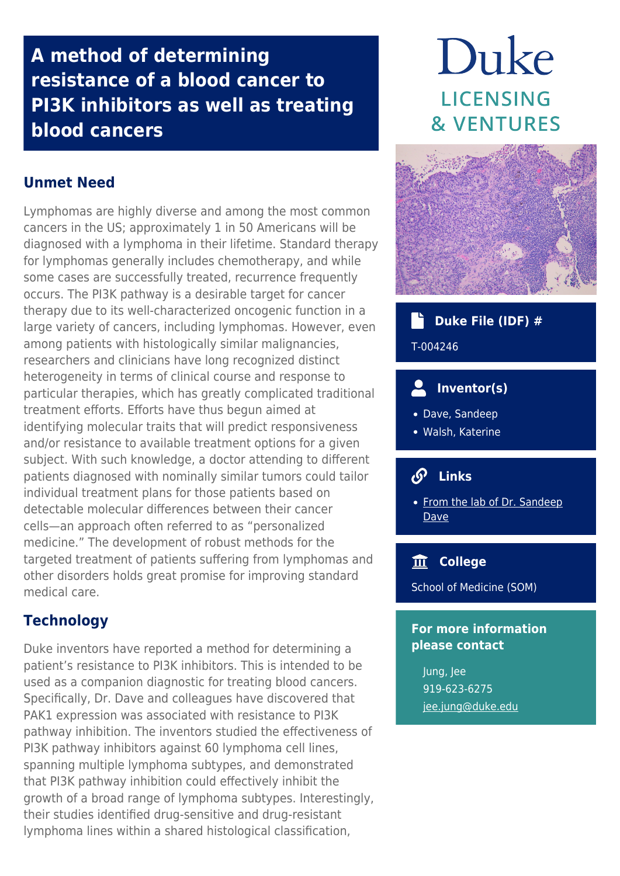## **A method of determining resistance of a blood cancer to PI3K inhibitors as well as treating blood cancers**

## **Unmet Need**

Lymphomas are highly diverse and among the most common cancers in the US; approximately 1 in 50 Americans will be diagnosed with a lymphoma in their lifetime. Standard therapy for lymphomas generally includes chemotherapy, and while some cases are successfully treated, recurrence frequently occurs. The PI3K pathway is a desirable target for cancer therapy due to its well-characterized oncogenic function in a large variety of cancers, including lymphomas. However, even among patients with histologically similar malignancies, researchers and clinicians have long recognized distinct heterogeneity in terms of clinical course and response to particular therapies, which has greatly complicated traditional treatment efforts. Efforts have thus begun aimed at identifying molecular traits that will predict responsiveness and/or resistance to available treatment options for a given subject. With such knowledge, a doctor attending to different patients diagnosed with nominally similar tumors could tailor individual treatment plans for those patients based on detectable molecular differences between their cancer cells—an approach often referred to as "personalized medicine." The development of robust methods for the targeted treatment of patients suffering from lymphomas and other disorders holds great promise for improving standard medical care.

## **Technology**

Duke inventors have reported a method for determining a patient's resistance to PI3K inhibitors. This is intended to be used as a companion diagnostic for treating blood cancers. Specifically, Dr. Dave and colleagues have discovered that PAK1 expression was associated with resistance to PI3K pathway inhibition. The inventors studied the effectiveness of PI3K pathway inhibitors against 60 lymphoma cell lines, spanning multiple lymphoma subtypes, and demonstrated that PI3K pathway inhibition could effectively inhibit the growth of a broad range of lymphoma subtypes. Interestingly, their studies identified drug-sensitive and drug-resistant lymphoma lines within a shared histological classification,

# Duke **LICENSING & VENTURES**



### **Duke File (IDF) #**

#### T-004246

## **Inventor(s)**

- Dave, Sandeep
- Walsh, Katerine

#### **Links**

• [From the lab of Dr. Sandeep](http://davelab.org/) [Dave](http://davelab.org/)

#### **College**

School of Medicine (SOM)

#### **For more information please contact**

Jung, Jee 919-623-6275 [jee.jung@duke.edu](mailto:jee.jung@duke.edu)